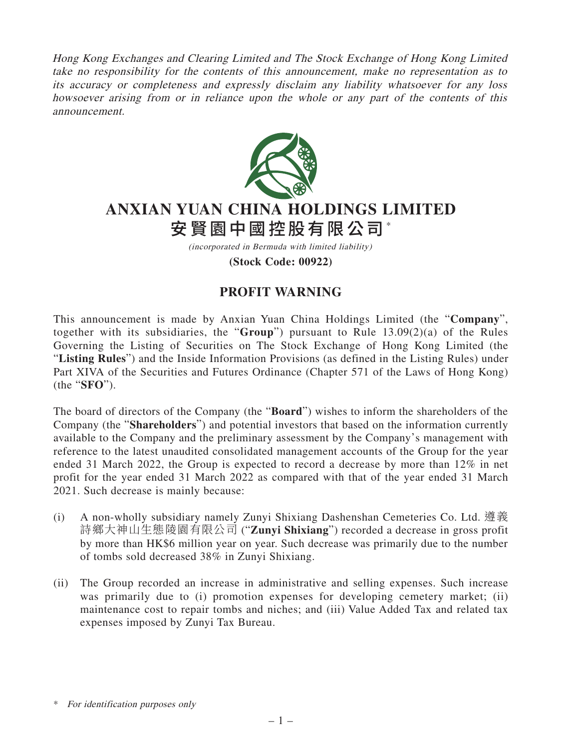Hong Kong Exchanges and Clearing Limited and The Stock Exchange of Hong Kong Limited take no responsibility for the contents of this announcement, make no representation as to its accuracy or completeness and expressly disclaim any liability whatsoever for any loss howsoever arising from or in reliance upon the whole or any part of the contents of this announcement.



## **ANXIAN YUAN CHINA HOLDINGS LIMITED** 安賢園中國控股有限公司\*

(incorporated in Bermuda with limited liability)

**(Stock Code: 00922)**

## **PROFIT WARNING**

This announcement is made by Anxian Yuan China Holdings Limited (the "**Company**", together with its subsidiaries, the "**Group**") pursuant to Rule 13.09(2)(a) of the Rules Governing the Listing of Securities on The Stock Exchange of Hong Kong Limited (the "**Listing Rules**") and the Inside Information Provisions (as defined in the Listing Rules) under Part XIVA of the Securities and Futures Ordinance (Chapter 571 of the Laws of Hong Kong) (the "**SFO**").

The board of directors of the Company (the "**Board**") wishes to inform the shareholders of the Company (the "**Shareholders**") and potential investors that based on the information currently available to the Company and the preliminary assessment by the Company's management with reference to the latest unaudited consolidated management accounts of the Group for the year ended 31 March 2022, the Group is expected to record a decrease by more than 12% in net profit for the year ended 31 March 2022 as compared with that of the year ended 31 March 2021. Such decrease is mainly because:

- (i) A non-wholly subsidiary namely Zunyi Shixiang Dashenshan Cemeteries Co. Ltd. 遵義 詩鄉大神山生態陵園有限公司 ("**Zunyi Shixiang**") recorded a decrease in gross profit by more than HK\$6 million year on year. Such decrease was primarily due to the number of tombs sold decreased 38% in Zunyi Shixiang.
- (ii) The Group recorded an increase in administrative and selling expenses. Such increase was primarily due to (i) promotion expenses for developing cemetery market; (ii) maintenance cost to repair tombs and niches; and (iii) Value Added Tax and related tax expenses imposed by Zunyi Tax Bureau.

<sup>\*</sup> For identification purposes only